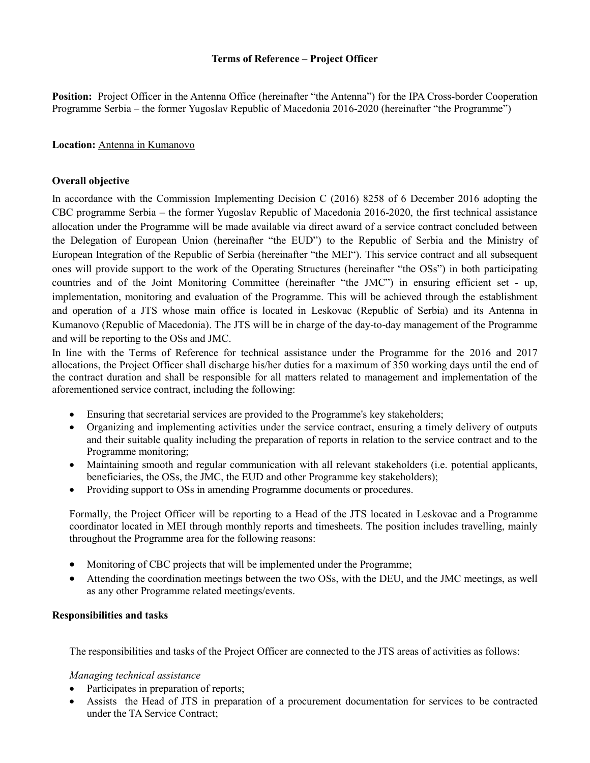# **Terms of Reference – Project Officer**

**Position:** Project Officer in the Antenna Office (hereinafter "the Antenna") for the IPA Cross-border Cooperation Programme Serbia – the former Yugoslav Republic of Macedonia 2016-2020 (hereinafter "the Programme")

#### **Location:** Antenna in Kumanovo

## **Overall objective**

In accordance with the Commission Implementing Decision C (2016) 8258 of 6 December 2016 adopting the CBC programme Serbia – the former Yugoslav Republic of Macedonia 2016-2020, the first technical assistance allocation under the Programme will be made available via direct award of a service contract concluded between the Delegation of European Union (hereinafter "the EUD") to the Republic of Serbia and the Ministry of European Integration of the Republic of Serbia (hereinafter "the MEI"). This service contract and all subsequent ones will provide support to the work of the Operating Structures (hereinafter "the OSs") in both participating countries and of the Joint Monitoring Committee (hereinafter "the JMC") in ensuring efficient set - up, implementation, monitoring and evaluation of the Programme. This will be achieved through the establishment and operation of a JTS whose main office is located in Leskovac (Republic of Serbia) and its Antenna in Kumanovo (Republic of Macedonia). The JTS will be in charge of the day-to-day management of the Programme and will be reporting to the OSs and JMC.

In line with the Terms of Reference for technical assistance under the Programme for the 2016 and 2017 allocations, the Project Officer shall discharge his/her duties for a maximum of 350 working days until the end of the contract duration and shall be responsible for all matters related to management and implementation of the aforementioned service contract, including the following:

- Ensuring that secretarial services are provided to the Programme's key stakeholders;
- Organizing and implementing activities under the service contract, ensuring a timely delivery of outputs and their suitable quality including the preparation of reports in relation to the service contract and to the Programme monitoring;
- Maintaining smooth and regular communication with all relevant stakeholders (i.e. potential applicants, beneficiaries, the OSs, the JMC, the EUD and other Programme key stakeholders);
- Providing support to OSs in amending Programme documents or procedures.

Formally, the Project Officer will be reporting to a Head of the JTS located in Leskovac and a Programme coordinator located in MEI through monthly reports and timesheets. The position includes travelling, mainly throughout the Programme area for the following reasons:

- Monitoring of CBC projects that will be implemented under the Programme;
- Attending the coordination meetings between the two OSs, with the DEU, and the JMC meetings, as well as any other Programme related meetings/events.

#### **Responsibilities and tasks**

The responsibilities and tasks of the Project Officer are connected to the JTS areas of activities as follows:

#### *Managing technical assistance*

- Participates in preparation of reports;
- Assists the Head of JTS in preparation of a procurement documentation for services to be contracted under the TA Service Contract;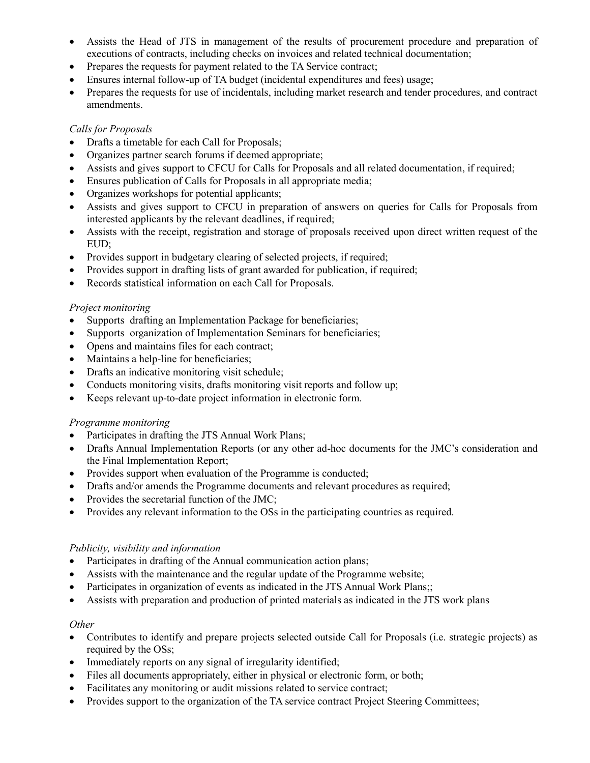- Assists the Head of JTS in management of the results of procurement procedure and preparation of executions of contracts, including checks on invoices and related technical documentation;
- Prepares the requests for payment related to the TA Service contract;
- Ensures internal follow-up of TA budget (incidental expenditures and fees) usage;
- Prepares the requests for use of incidentals, including market research and tender procedures, and contract amendments.

# *Calls for Proposals*

- Drafts a timetable for each Call for Proposals;
- Organizes partner search forums if deemed appropriate;
- Assists and gives support to CFCU for Calls for Proposals and all related documentation, if required;
- Ensures publication of Calls for Proposals in all appropriate media;
- Organizes workshops for potential applicants;
- Assists and gives support to CFCU in preparation of answers on queries for Calls for Proposals from interested applicants by the relevant deadlines, if required;
- Assists with the receipt, registration and storage of proposals received upon direct written request of the EUD;
- Provides support in budgetary clearing of selected projects, if required;
- Provides support in drafting lists of grant awarded for publication, if required;
- Records statistical information on each Call for Proposals.

## *Project monitoring*

- Supports drafting an Implementation Package for beneficiaries;
- Supports organization of Implementation Seminars for beneficiaries;
- Opens and maintains files for each contract;
- Maintains a help-line for beneficiaries;
- Drafts an indicative monitoring visit schedule;
- Conducts monitoring visits, drafts monitoring visit reports and follow up;
- Keeps relevant up-to-date project information in electronic form.

#### *Programme monitoring*

- Participates in drafting the JTS Annual Work Plans;
- Drafts Annual Implementation Reports (or any other ad-hoc documents for the JMC's consideration and the Final Implementation Report;
- Provides support when evaluation of the Programme is conducted;
- Drafts and/or amends the Programme documents and relevant procedures as required;
- Provides the secretarial function of the JMC;
- Provides any relevant information to the OSs in the participating countries as required.

#### *Publicity, visibility and information*

- Participates in drafting of the Annual communication action plans;
- Assists with the maintenance and the regular update of the Programme website;
- Participates in organization of events as indicated in the JTS Annual Work Plans;;
- Assists with preparation and production of printed materials as indicated in the JTS work plans

#### *Other*

- Contributes to identify and prepare projects selected outside Call for Proposals (i.e. strategic projects) as required by the OSs;
- Immediately reports on any signal of irregularity identified;
- Files all documents appropriately, either in physical or electronic form, or both;
- Facilitates any monitoring or audit missions related to service contract;
- Provides support to the organization of the TA service contract Project Steering Committees;